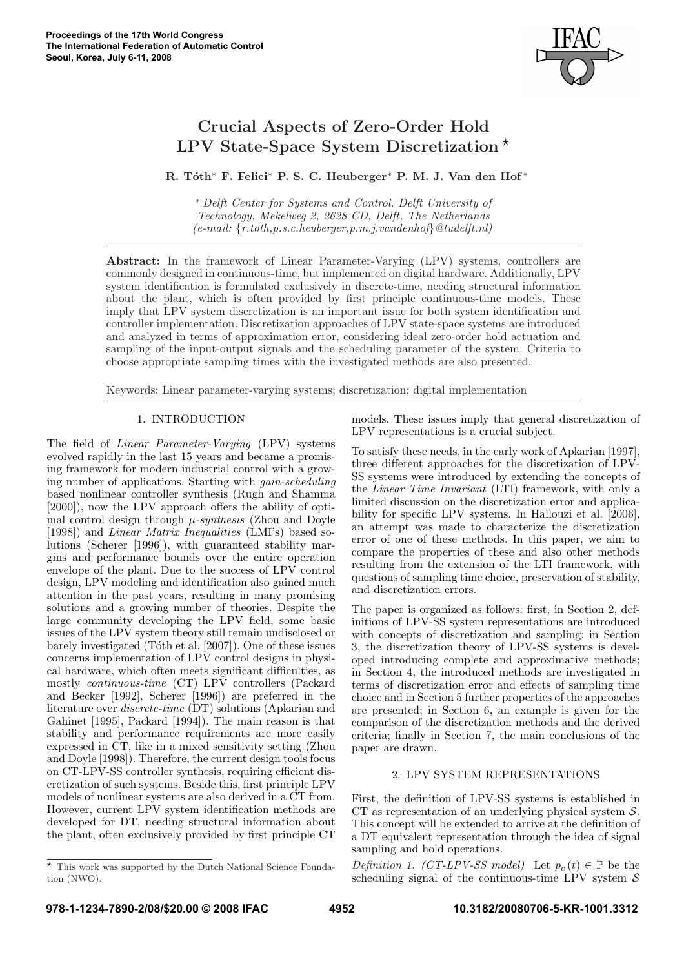

# Crucial Aspects of Zero-Order Hold LPV State-Space System Discretization  $\star$

R. Tóth<sup>∗</sup> F. Felici<sup>∗</sup> P. S. C. Heuberger<sup>∗</sup> P. M. J. Van den Hof<sup>\*</sup>

<sup>∗</sup> Delft Center for Systems and Control. Delft University of Technology, Mekelweg 2, 2628 CD, Delft, The Netherlands  $(e-mail: \{r.toth, p.s.c. \,heuberqer, p.m. \,j. \,vandenhoff\, \mathcal{Q}tudelft.nl\})$ 

Abstract: In the framework of Linear Parameter-Varying (LPV) systems, controllers are commonly designed in continuous-time, but implemented on digital hardware. Additionally, LPV system identification is formulated exclusively in discrete-time, needing structural information about the plant, which is often provided by first principle continuous-time models. These imply that LPV system discretization is an important issue for both system identification and controller implementation. Discretization approaches of LPV state-space systems are introduced and analyzed in terms of approximation error, considering ideal zero-order hold actuation and sampling of the input-output signals and the scheduling parameter of the system. Criteria to choose appropriate sampling times with the investigated methods are also presented.

Keywords: Linear parameter-varying systems; discretization; digital implementation

# 1. INTRODUCTION

The field of Linear Parameter-Varying (LPV) systems evolved rapidly in the last 15 years and became a promising framework for modern industrial control with a growing number of applications. Starting with gain-scheduling based nonlinear controller synthesis (Rugh and Shamma [2000]), now the LPV approach offers the ability of optimal control design through  $\mu$ -synthesis (Zhou and Doyle [1998]) and Linear Matrix Inequalities (LMI's) based solutions (Scherer [1996]), with guaranteed stability margins and performance bounds over the entire operation envelope of the plant. Due to the success of LPV control design, LPV modeling and identification also gained much attention in the past years, resulting in many promising solutions and a growing number of theories. Despite the large community developing the LPV field, some basic issues of the LPV system theory still remain undisclosed or barely investigated (Tóth et al.  $[2007]$ ). One of these issues concerns implementation of LPV control designs in physical hardware, which often meets significant difficulties, as mostly continuous-time (CT) LPV controllers (Packard and Becker [1992], Scherer [1996]) are preferred in the literature over *discrete-time* (DT) solutions (Apkarian and Gahinet [1995], Packard [1994]). The main reason is that stability and performance requirements are more easily expressed in CT, like in a mixed sensitivity setting (Zhou and Doyle [1998]). Therefore, the current design tools focus on CT-LPV-SS controller synthesis, requiring efficient discretization of such systems. Beside this, first principle LPV models of nonlinear systems are also derived in a CT from. However, current LPV system identification methods are developed for DT, needing structural information about the plant, often exclusively provided by first principle CT

models. These issues imply that general discretization of LPV representations is a crucial subject.

To satisfy these needs, in the early work of Apkarian [1997], three different approaches for the discretization of LPV-SS systems were introduced by extending the concepts of the Linear Time Invariant (LTI) framework, with only a limited discussion on the discretization error and applicability for specific LPV systems. In Hallouzi et al. [2006], an attempt was made to characterize the discretization error of one of these methods. In this paper, we aim to compare the properties of these and also other methods resulting from the extension of the LTI framework, with questions of sampling time choice, preservation of stability, and discretization errors.

The paper is organized as follows: first, in Section 2, definitions of LPV-SS system representations are introduced with concepts of discretization and sampling; in Section 3, the discretization theory of LPV-SS systems is developed introducing complete and approximative methods; in Section 4, the introduced methods are investigated in terms of discretization error and effects of sampling time choice and in Section 5 further properties of the approaches are presented; in Section 6, an example is given for the comparison of the discretization methods and the derived criteria; finally in Section 7, the main conclusions of the paper are drawn.

# 2. LPV SYSTEM REPRESENTATIONS

First, the definition of LPV-SS systems is established in CT as representation of an underlying physical system  $S$ . This concept will be extended to arrive at the definition of a DT equivalent representation through the idea of signal sampling and hold operations.

Definition 1. (CT-LPV-SS model) Let  $p_c(t) \in \mathbb{P}$  be the scheduling signal of the continuous-time LPV system  $\mathcal S$ 

 $^\star\,$  This work was supported by the Dutch National Science Foundation (NWO).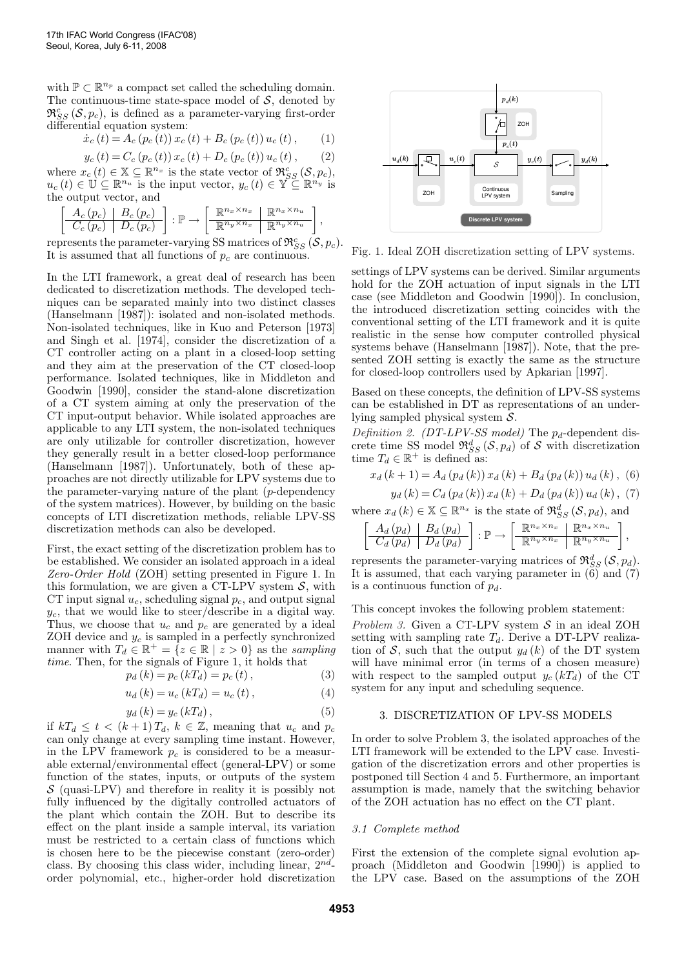with  $\mathbb{P} \subset \mathbb{R}^{n_p}$  a compact set called the scheduling domain. The continuous-time state-space model of  $S$ , denoted by  $\mathfrak{R}_{SS}^c(\mathcal{S}, p_c)$ , is defined as a parameter-varying first-order differential equation system:

$$
\dot{x}_{c}(t) = A_{c}(p_{c}(t)) x_{c}(t) + B_{c}(p_{c}(t)) u_{c}(t), \qquad (1)
$$

$$
y_c(t) = C_c (p_c(t)) x_c(t) + D_c (p_c(t)) u_c(t), \qquad (2)
$$

where  $x_c(t) \in \mathbb{X} \subseteq \mathbb{R}^{n_x}$  is the state vector of  $\mathfrak{R}_{SS}^c(\mathcal{S}, p_c)$ ,  $u_c(t) \in \mathbb{U} \subseteq \mathbb{R}^{n_u}$  is the input vector,  $y_c(t) \in \mathbb{Y} \subseteq \mathbb{R}^{n_y}$  is the output vector, and

$$
\left[\begin{array}{c|c} A_c(p_c) & B_c(p_c) \\ \hline C_c(p_c) & D_c(p_c) \end{array}\right] : \mathbb{P} \to \left[\begin{array}{c|c} \mathbb{R}^{n_x \times n_x} & \mathbb{R}^{n_x \times n_u} \\ \hline \mathbb{R}^{n_y \times n_x} & \mathbb{R}^{n_y \times n_u} \end{array}\right],
$$

represents the parameter-varying SS matrices of  $\mathfrak{R}_{SS}^c(\mathcal{S}, p_c)$ . It is assumed that all functions of  $p_c$  are continuous.

In the LTI framework, a great deal of research has been dedicated to discretization methods. The developed techniques can be separated mainly into two distinct classes (Hanselmann [1987]): isolated and non-isolated methods. Non-isolated techniques, like in Kuo and Peterson [1973] and Singh et al. [1974], consider the discretization of a CT controller acting on a plant in a closed-loop setting and they aim at the preservation of the CT closed-loop performance. Isolated techniques, like in Middleton and Goodwin [1990], consider the stand-alone discretization of a CT system aiming at only the preservation of the CT input-output behavior. While isolated approaches are applicable to any LTI system, the non-isolated techniques are only utilizable for controller discretization, however they generally result in a better closed-loop performance (Hanselmann [1987]). Unfortunately, both of these approaches are not directly utilizable for LPV systems due to the parameter-varying nature of the plant  $(p$ -dependency of the system matrices). However, by building on the basic concepts of LTI discretization methods, reliable LPV-SS discretization methods can also be developed.

First, the exact setting of the discretization problem has to be established. We consider an isolated approach in a ideal Zero-Order Hold (ZOH) setting presented in Figure 1. In this formulation, we are given a CT-LPV system  $S$ , with CT input signal  $u_c$ , scheduling signal  $p_c$ , and output signal  $y_c$ , that we would like to steer/describe in a digital way. Thus, we choose that  $u_c$  and  $p_c$  are generated by a ideal ZOH device and  $y_c$  is sampled in a perfectly synchronized manner with  $T_d \in \mathbb{R}^+ = \{z \in \mathbb{R} \mid z > 0\}$  as the sampling time. Then, for the signals of Figure 1, it holds that

$$
p_d(k) = p_c(kT_d) = p_c(t),
$$
\n(3)

$$
u_{d}(k) = u_{c}(kT_{d}) = u_{c}(t), \qquad (4)
$$

$$
y_d(k) = y_c(kT_d), \qquad (5)
$$

if  $kT_d \le t \lt (k+1)T_d$ ,  $k \in \mathbb{Z}$ , meaning that  $u_c$  and  $p_c$ can only change at every sampling time instant. However, in the LPV framework  $p_c$  is considered to be a measurable external/environmental effect (general-LPV) or some function of the states, inputs, or outputs of the system  $\mathcal S$  (quasi-LPV) and therefore in reality it is possibly not fully influenced by the digitally controlled actuators of the plant which contain the ZOH. But to describe its effect on the plant inside a sample interval, its variation must be restricted to a certain class of functions which is chosen here to be the piecewise constant (zero-order) class. By choosing this class wider, including linear,  $2^{nd}$ order polynomial, etc., higher-order hold discretization



Fig. 1. Ideal ZOH discretization setting of LPV systems.

settings of LPV systems can be derived. Similar arguments hold for the ZOH actuation of input signals in the LTI case (see Middleton and Goodwin [1990]). In conclusion, the introduced discretization setting coincides with the conventional setting of the LTI framework and it is quite realistic in the sense how computer controlled physical systems behave (Hanselmann [1987]). Note, that the presented ZOH setting is exactly the same as the structure for closed-loop controllers used by Apkarian [1997].

Based on these concepts, the definition of LPV-SS systems can be established in DT as representations of an underlying sampled physical system S.

Definition 2. (DT-LPV-SS model) The  $p_d$ -dependent discrete time SS model  $\mathfrak{R}_{SS}^d(\mathcal{S}, p_d)$  of S with discretization time  $T_d \in \mathbb{R}^+$  is defined as:

$$
x_{d}(k+1) = A_{d}(p_{d}(k)) x_{d}(k) + B_{d}(p_{d}(k)) u_{d}(k), (6)
$$

$$
y_{d}(k) = C_{d}(p_{d}(k)) x_{d}(k) + D_{d}(p_{d}(k)) u_{d}(k), (7)
$$

where  $x_d(k) \in \mathbb{X} \subseteq \mathbb{R}^{n_x}$  is the state of  $\mathfrak{R}_{SS}^d(\mathcal{S}, p_d)$ , and

$$
\left[\begin{array}{c|c} A_d(p_d) & B_d(p_d) \ \hline C_d(p_d) & D_d(p_d) \end{array}\right] : \mathbb{P} \to \left[\begin{array}{c|c} \mathbb{R}^{n_x \times n_x} & \mathbb{R}^{n_x \times n_u} \ \hline \mathbb{R}^{n_y \times n_x} & \mathbb{R}^{n_y \times n_u} \end{array}\right],
$$

represents the parameter-varying matrices of  $\mathfrak{R}_{SS}^d(\mathcal{S}, p_d)$ . It is assumed, that each varying parameter in  $\left(6\right)$  and  $\left(7\right)$ is a continuous function of  $p_d$ .

This concept invokes the following problem statement:

Problem 3. Given a CT-LPV system  $S$  in an ideal ZOH setting with sampling rate  $T_d$ . Derive a DT-LPV realization of S, such that the output  $y_d(k)$  of the DT system will have minimal error (in terms of a chosen measure) with respect to the sampled output  $y_c (kT_d)$  of the CT system for any input and scheduling sequence.

## 3. DISCRETIZATION OF LPV-SS MODELS

In order to solve Problem 3, the isolated approaches of the LTI framework will be extended to the LPV case. Investigation of the discretization errors and other properties is postponed till Section 4 and 5. Furthermore, an important assumption is made, namely that the switching behavior of the ZOH actuation has no effect on the CT plant.

## 3.1 Complete method

First the extension of the complete signal evolution approach (Middleton and Goodwin [1990]) is applied to the LPV case. Based on the assumptions of the ZOH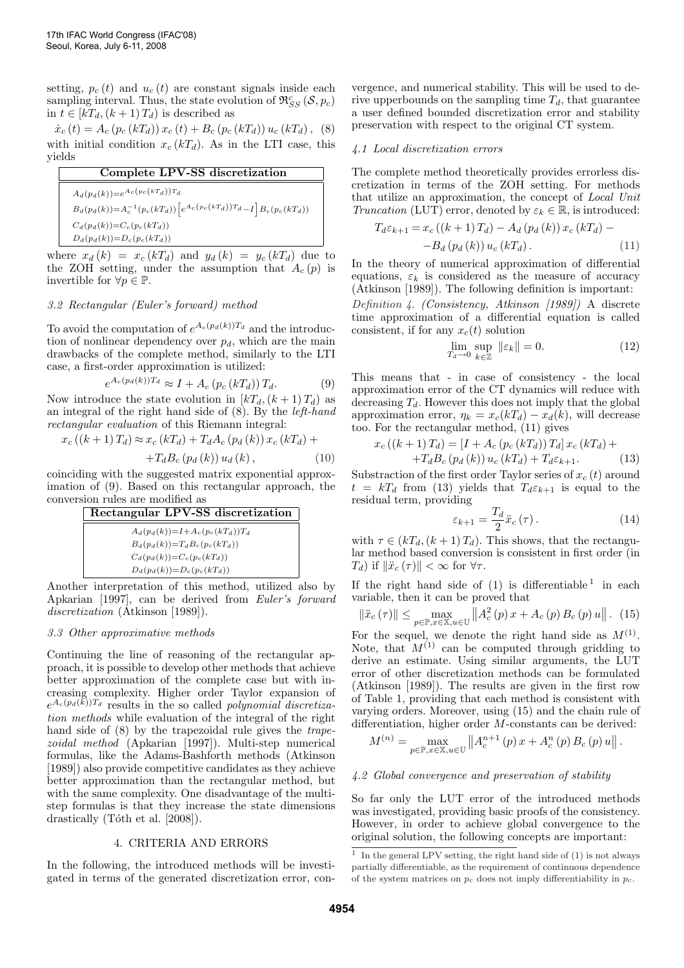setting,  $p_c(t)$  and  $u_c(t)$  are constant signals inside each sampling interval. Thus, the state evolution of  $\mathfrak{R}_{SS}^c(\mathcal{S}, p_c)$ in  $t \in [kT_d, (k+1)T_d)$  is described as

 $\dot{x}_{c}(t) = A_{c}(p_{c}(kT_{d})) x_{c}(t) + B_{c}(p_{c}(kT_{d})) u_{c}(kT_{d}),$  (8) with initial condition  $x_c (kT_d)$ . As in the LTI case, this yields

Complete LPV-SS discretization  $A_d(p_d(k)) = e^{A_c(p_c(kT_d))T_d}$  $B_d(p_d(k)) = A_c^{-1}(p_c(kT_d))\left[e^{A_c(p_c(kT_d))T_d} - I\right]B_c(p_c(kT_d))$  $C_d(p_d(k)) = C_c(p_c(kT_d))$  $D_d(p_d(k))=D_c(p_c(kT_d))$ 

where  $x_d(k) = x_c(kT_d)$  and  $y_d(k) = y_c(kT_d)$  due to the ZOH setting, under the assumption that  $A_c(p)$  is invertible for  $\forall p \in \mathbb{P}$ .

# 3.2 Rectangular (Euler's forward) method

To avoid the computation of  $e^{A_c(p_d(k))T_d}$  and the introduction of nonlinear dependency over  $p_d$ , which are the main drawbacks of the complete method, similarly to the LTI case, a first-order approximation is utilized:

$$
e^{A_c(p_d(k))T_d} \approx I + A_c(p_c(kT_d))T_d.
$$
 (9)

Now introduce the state evolution in  $[kT_d,(k+1)T_d]$  as an integral of the right hand side of (8). By the left-hand rectangular evaluation of this Riemann integral:

 $x_c ((k+1) T_d) \approx x_c (kT_d) + T_d A_c (p_d (k)) x_c (kT_d) +$ 

$$
+T_{d}B_{c}\left(p_{d}\left(k\right)\right)u_{d}\left(k\right),\tag{10}
$$

coinciding with the suggested matrix exponential approximation of (9). Based on this rectangular approach, the conversion rules are modified as

## Rectangular LPV-SS discretization

| $A_d(p_d(k))=I+A_c(p_c(kT_d))T_d$  |
|------------------------------------|
| $B_d(p_d(k)) = T_d B_c(p_c(kT_d))$ |
| $C_d(p_d(k)) = C_c(p_c(kT_d))$     |
| $D_d(p_d(k)) = D_c(p_c(kT_d))$     |

Another interpretation of this method, utilized also by Apkarian [1997], can be derived from Euler's forward discretization (Atkinson [1989]).

#### 3.3 Other approximative methods

Continuing the line of reasoning of the rectangular approach, it is possible to develop other methods that achieve better approximation of the complete case but with increasing complexity. Higher order Taylor expansion of  $e^{A_c(p_d(\vec{k}))T_d}$  results in the so called *polynomial discretiza*tion methods while evaluation of the integral of the right hand side of  $(8)$  by the trapezoidal rule gives the *trape*zoidal method (Apkarian [1997]). Multi-step numerical formulas, like the Adams-Bashforth methods (Atkinson [1989]) also provide competitive candidates as they achieve better approximation than the rectangular method, but with the same complexity. One disadvantage of the multistep formulas is that they increase the state dimensions drastically (Tóth et al.  $[2008]$ ).

## 4. CRITERIA AND ERRORS

In the following, the introduced methods will be investigated in terms of the generated discretization error, convergence, and numerical stability. This will be used to derive upperbounds on the sampling time  $T_d$ , that guarantee a user defined bounded discretization error and stability preservation with respect to the original CT system.

## 4.1 Local discretization errors

The complete method theoretically provides errorless discretization in terms of the ZOH setting. For methods that utilize an approximation, the concept of Local Unit Truncation (LUT) error, denoted by  $\varepsilon_k \in \mathbb{R}$ , is introduced:

$$
T_{d}\varepsilon_{k+1} = x_c ((k+1) T_d) - A_d (p_d (k)) x_c (kT_d) - B_d (p_d (k)) u_c (kT_d).
$$
 (11)

In the theory of numerical approximation of differential equations,  $\varepsilon_k$  is considered as the measure of accuracy (Atkinson [1989]). The following definition is important:

Definition 4. (Consistency, Atkinson [1989]) A discrete time approximation of a differential equation is called consistent, if for any  $x_c(t)$  solution

$$
\lim_{T_d \to 0} \sup_{k \in \mathbb{Z}} \|\varepsilon_k\| = 0. \tag{12}
$$

This means that - in case of consistency - the local approximation error of the CT dynamics will reduce with decreasing  $T<sub>d</sub>$ . However this does not imply that the global approximation error,  $\eta_k = x_c(kT_d) - x_d(k)$ , will decrease too. For the rectangular method, (11) gives

$$
x_c ((k+1) T_d) = [I + A_c (p_c (kT_d)) T_d] x_c (kT_d) ++ T_d B_c (p_d (k)) u_c (kT_d) + T_d \varepsilon_{k+1}.
$$
 (13)

Substraction of the first order Taylor series of  $x_c(t)$  around  $t = kT_d$  from (13) yields that  $T_d \varepsilon_{k+1}$  is equal to the residual term, providing

$$
\varepsilon_{k+1} = \frac{T_d}{2} \ddot{x}_c \left( \tau \right). \tag{14}
$$

with  $\tau \in (kT_d, (k+1)T_d)$ . This shows, that the rectangular method based conversion is consistent in first order (in  $T_d$ ) if  $\|\ddot{x}_c(\tau)\| < \infty$  for  $\forall \tau$ .

If the right hand side of  $(1)$  is differentiable<sup>1</sup> in each variable, then it can be proved that

$$
\left\|\ddot{x}_{c}\left(\tau\right)\right\| \leq \max_{p \in \mathbb{P}, x \in \mathbb{X}, u \in \mathbb{U}} \left\|A_{c}^{2}\left(p\right)x + A_{c}\left(p\right)B_{c}\left(p\right)u\right\|.\tag{15}
$$

For the sequel, we denote the right hand side as  $M^{(1)}$ . Note, that  $M^{(1)}$  can be computed through gridding to derive an estimate. Using similar arguments, the LUT error of other discretization methods can be formulated (Atkinson [1989]). The results are given in the first row of Table 1, providing that each method is consistent with varying orders. Moreover, using (15) and the chain rule of differentiation, higher order  $M$ -constants can be derived:

$$
M^{(n)} = \max_{p \in \mathbb{P}, x \in \mathbb{X}, u \in \mathbb{U}} \left\| A_c^{n+1}(p) x + A_c^n(p) B_c(p) u \right\|.
$$

#### 4.2 Global convergence and preservation of stability

So far only the LUT error of the introduced methods was investigated, providing basic proofs of the consistency. However, in order to achieve global convergence to the original solution, the following concepts are important:

<sup>&</sup>lt;sup>1</sup> In the general LPV setting, the right hand side of  $(1)$  is not always partially differentiable, as the requirement of continuous dependence of the system matrices on  $p_c$  does not imply differentiability in  $p_c$ .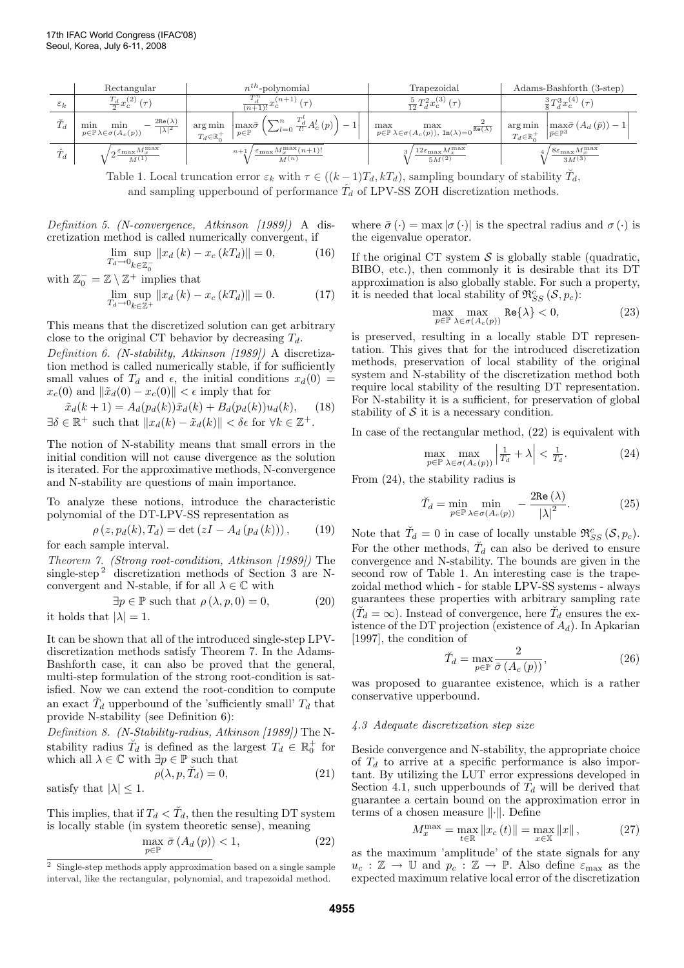|                 | Rectangular                                                                                               | $n^{th}$ -polynomial                                                                                                                                                                                       | Trapezoidal                                                                                                       | Adams-Bashforth (3-step)                                                                                                                                                                                                               |
|-----------------|-----------------------------------------------------------------------------------------------------------|------------------------------------------------------------------------------------------------------------------------------------------------------------------------------------------------------------|-------------------------------------------------------------------------------------------------------------------|----------------------------------------------------------------------------------------------------------------------------------------------------------------------------------------------------------------------------------------|
| $\varepsilon_k$ | $\frac{T_d}{2}x_c^{(2)}$<br>$(\tau)$                                                                      | $(n+1)$ $(\tau)$<br>$\overline{(n+1)!}x_c$                                                                                                                                                                 | $\frac{5}{12}T_d^2x_c^{(3)}(\tau)$                                                                                | $\frac{3}{8}T_{d}^{3}x_{c}^{(4)}(\tau)$                                                                                                                                                                                                |
| $\bar{T}_d$     | $-\frac{2\text{Re}(\lambda)}{ \lambda ^2}$<br>min<br>min<br>$p \in \mathbb{P} \lambda \in \sigma(A_c(p))$ | $\text{arg}\min_{\mathbf{p}}~\Big \max_{p\in\mathbb{P}}\bar{\sigma}\left(\sum_{l=0}^{n}\frac{T_{d}^{l}}{l!}A_{c}^{l}\left(p\right)\right)-\text{.}\label{eq:optimal}$<br>arg min<br>$T_d \in \mathbb{R}^+$ | $\max_{p \in \mathbb{P}} \max_{\lambda \in \sigma(A_c(p)), \text{ Im}(\lambda) = 0} \frac{2}{\text{Re}(\lambda)}$ | $\cdots$ $\cdots$ $\begin{array}{c} \cdots \infty \\ T_d \in \mathbb{R}^+ \end{array}$ $\begin{array}{c} \left  \max\limits_{\bar{p} \in \mathbb{P}^3} \bar{\sigma} \left( A_d \left( \bar{p} \right) \right) - 1 \right  \end{array}$ |
| $\hat{T}_d$     | $\mu_{\mathbf{Q}} \underline{\epsilon_{\max} M_x^{\max}}$<br>$M^{(1)}$                                    | $\ell_{\max} M_x^{\max}(n+1)!$<br>$n+1$<br>$M^{(n)}$                                                                                                                                                       | $12\varepsilon_{\max}M_x^{\max}$<br>$5M^{(2)}$                                                                    | $8\varepsilon_{\max}M_{x}^{\max}$<br>$3M^{(3)}$                                                                                                                                                                                        |

Table 1. Local truncation error  $\varepsilon_k$  with  $\tau \in ((k-1)T_d, kT_d)$ , sampling boundary of stability  $\tilde{T}_d$ , and sampling upperbound of performance  $\hat{T}_d$  of LPV-SS ZOH discretization methods.

Definition 5. (N-convergence, Atkinson [1989]) A discretization method is called numerically convergent, if

$$
\lim_{T_d \to 0} \sup_{k \in \mathbb{Z}_0^-} ||x_d(k) - x_c(kT_d)|| = 0,
$$
\n(16)

with 
$$
\mathbb{Z}_0^- = \mathbb{Z} \setminus \mathbb{Z}^+
$$
 implies that  
\n
$$
\lim_{T_d \to 0} \sup_{k \in \mathbb{Z}^+} ||x_d(k) - x_c(kT_d)|| = 0.
$$
\n(17)

This means that the discretized solution can get arbitrary close to the original CT behavior by decreasing  $T_d$ .

Definition 6. (N-stability, Atkinson [1989]) A discretization method is called numerically stable, if for sufficiently small values of  $T_d$  and  $\epsilon$ , the initial conditions  $x_d(0)$  =  $x_c(0)$  and  $\|\tilde{x}_d(0) - x_c(0)\| < \epsilon$  imply that for

$$
\tilde{x}_d(k+1) = A_d(p_d(k))\tilde{x}_d(k) + B_d(p_d(k))u_d(k), \quad (18)
$$
  

$$
\exists \delta \in \mathbb{R}^+ \text{ such that } ||x_d(k) - \tilde{x}_d(k)|| < \delta \epsilon \text{ for } \forall k \in \mathbb{Z}^+.
$$

The notion of N-stability means that small errors in the initial condition will not cause divergence as the solution is iterated. For the approximative methods, N-convergence and N-stability are questions of main importance.

To analyze these notions, introduce the characteristic polynomial of the DT-LPV-SS representation as

$$
\rho(z, p_d(k), T_d) = \det(zI - A_d (p_d (k))), \qquad (19)
$$

for each sample interval.

Theorem 7. (Strong root-condition, Atkinson [1989]) The single-step<sup>2</sup> discretization methods of Section 3 are Nconvergent and N-stable, if for all  $\lambda \in \mathbb{C}$  with

$$
\exists p \in \mathbb{P} \text{ such that } \rho(\lambda, p, 0) = 0,
$$

it holds that  $|\lambda| = 1$ .

It can be shown that all of the introduced single-step LPVdiscretization methods satisfy Theorem 7. In the Adams-Bashforth case, it can also be proved that the general, multi-step formulation of the strong root-condition is satisfied. Now we can extend the root-condition to compute an exact  $\check{T}_d$  upperbound of the 'sufficiently small'  $T_d$  that provide N-stability (see Definition 6):

Definition 8. (N-Stability-radius, Atkinson [1989]) The Nstability radius  $\tilde{T}_d$  is defined as the largest  $T_d \in \mathbb{R}^+_0$  for which all  $\lambda \in \mathbb{C}$  with  $\exists p \in \mathbb{P}$  such that

$$
\rho(\lambda, p, \breve{T}_d) = 0,\tag{21}
$$

satisfy that  $|\lambda| < 1$ .

This implies, that if  $T_d < \check{T}_d$ , then the resulting DT system is locally stable (in system theoretic sense), meaning

$$
\max_{p \in \mathbb{P}} \bar{\sigma}(A_d(p)) < 1,\tag{22}
$$

where  $\bar{\sigma}(\cdot) = \max |\sigma(\cdot)|$  is the spectral radius and  $\sigma(\cdot)$  is the eigenvalue operator.

If the original CT system  $S$  is globally stable (quadratic, BIBO, etc.), then commonly it is desirable that its DT approximation is also globally stable. For such a property, it is needed that local stability of  $\mathfrak{R}_{SS}^c(\mathcal{S}, p_c)$ :

$$
\max_{p \in \mathbb{P}} \max_{\lambda \in \sigma(A_c(p))} \text{Re}\{\lambda\} < 0,\tag{23}
$$

is preserved, resulting in a locally stable DT representation. This gives that for the introduced discretization methods, preservation of local stability of the original system and N-stability of the discretization method both require local stability of the resulting DT representation. For N-stability it is a sufficient, for preservation of global stability of  $S$  it is a necessary condition.

In case of the rectangular method, (22) is equivalent with

$$
\max_{p \in \mathbb{P}} \max_{\lambda \in \sigma(A_c(p))} \left| \frac{1}{T_d} + \lambda \right| < \frac{1}{T_d}.\tag{24}
$$

From (24), the stability radius is

$$
\breve{T}_d = \min_{p \in \mathbb{P}} \min_{\lambda \in \sigma(A_c(p))} - \frac{2 \text{Re}(\lambda)}{|\lambda|^2}.
$$
 (25)

Note that  $\check{T}_d = 0$  in case of locally unstable  $\mathfrak{R}_{SS}^c(\mathcal{S}, p_c)$ . For the other methods,  $\check{T}_d$  can also be derived to ensure convergence and N-stability. The bounds are given in the second row of Table 1. An interesting case is the trapezoidal method which - for stable LPV-SS systems - always guarantees these properties with arbitrary sampling rate  $(\check{T}_d = \infty)$ . Instead of convergence, here  $\check{T}_d$  ensures the existence of the DT projection (existence of  $A_d$ ). In Apkarian [1997], the condition of

$$
\breve{T}_d = \max_{p \in \mathbb{P}} \frac{2}{\bar{\sigma}(A_c(p))},\tag{26}
$$

was proposed to guarantee existence, which is a rather conservative upperbound.

## 4.3 Adequate discretization step size

Beside convergence and N-stability, the appropriate choice of  $T_d$  to arrive at a specific performance is also important. By utilizing the LUT error expressions developed in Section 4.1, such upperbounds of  $T_d$  will be derived that guarantee a certain bound on the approximation error in terms of a chosen measure  $\lVert \cdot \rVert$ . Define

$$
M_x^{\max} = \max_{t \in \mathbb{R}} \|x_c(t)\| = \max_{x \in \mathbb{X}} \|x\|,
$$
 (27)

as the maximum 'amplitude' of the state signals for any  $u_c : \mathbb{Z} \to \mathbb{U}$  and  $p_c : \mathbb{Z} \to \mathbb{P}$ . Also define  $\varepsilon_{\text{max}}$  as the expected maximum relative local error of the discretization

 $^{\rm 2}$  Single-step methods apply approximation based on a single sample interval, like the rectangular, polynomial, and trapezoidal method.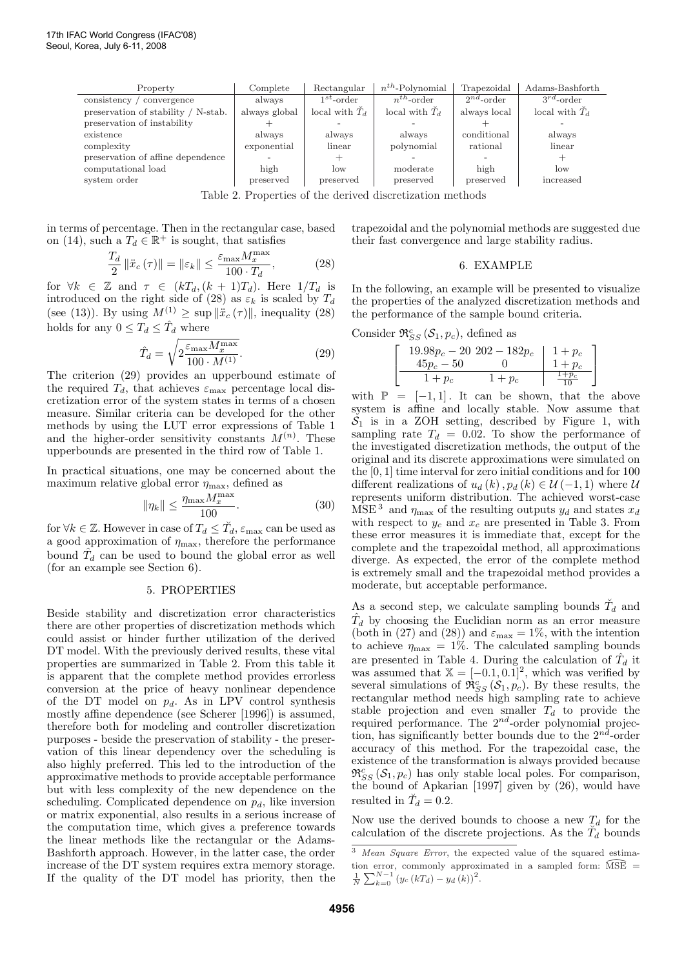| Property                            | Complete      | Rectangular              | $n^{th}$ -Polynomial     | Trapezoidal     | Adams-Bashforth          |
|-------------------------------------|---------------|--------------------------|--------------------------|-----------------|--------------------------|
| consistency<br>convergence          | always        | $1^{st}$ -order          | $n^{th}$ -order          | $2^{nd}$ -order | $3^{rd}$ -order          |
| preservation of stability / N-stab. | always global | local with $\tilde{T}_d$ | local with $\tilde{T}_d$ | always local    | local with $\tilde{T}_d$ |
| preservation of instability         |               |                          |                          |                 |                          |
| existence                           | always        | always                   | always                   | conditional     | always                   |
| complexity                          | exponential   | linear                   | polynomial               | rational        | linear                   |
| preservation of affine dependence   |               | $^+$                     |                          |                 |                          |
| computational load                  | high          | $\log$                   | moderate                 | high            | low                      |
| system order                        | preserved     | preserved                | preserved                | preserved       | increased                |

Table 2. Properties of the derived discretization methods

in terms of percentage. Then in the rectangular case, based on (14), such a  $T_d \in \mathbb{R}^+$  is sought, that satisfies

$$
\frac{T_d}{2} \|\ddot{x}_c(\tau)\| = \|\varepsilon_k\| \le \frac{\varepsilon_{\text{max}} M_x^{\text{max}}}{100 \cdot T_d},\tag{28}
$$

for  $\forall k \in \mathbb{Z}$  and  $\tau \in (kT_d, (k+1)T_d)$ . Here  $1/T_d$  is introduced on the right side of (28) as  $\varepsilon_k$  is scaled by  $T_d$ (see (13)). By using  $M^{(1)} \geq \sup ||\ddot{x}_c(\tau)||$ , inequality (28) holds for any  $0 \leq T_d \leq \hat{T}_d$  where

$$
\hat{T}_d = \sqrt{2 \frac{\varepsilon_{\text{max}} M_x^{\text{max}}}{100 \cdot M^{(1)}}}. \tag{29}
$$

The criterion (29) provides an upperbound estimate of the required  $T_d$ , that achieves  $\varepsilon_{\text{max}}$  percentage local discretization error of the system states in terms of a chosen measure. Similar criteria can be developed for the other methods by using the LUT error expressions of Table 1 and the higher-order sensitivity constants  $M^{(n)}$ . These upperbounds are presented in the third row of Table 1.

In practical situations, one may be concerned about the maximum relative global error  $\eta_{\text{max}}$ , defined as

$$
\|\eta_k\| \le \frac{\eta_{\text{max}} M_x^{\text{max}}}{100}.\tag{30}
$$

for  $\forall k \in \mathbb{Z}$ . However in case of  $T_d \leq \check{T}_d$ ,  $\varepsilon_{\text{max}}$  can be used as a good approximation of  $\eta_{\text{max}}$ , therefore the performance bound  $\hat{T}_d$  can be used to bound the global error as well (for an example see Section 6).

#### 5. PROPERTIES

Beside stability and discretization error characteristics there are other properties of discretization methods which could assist or hinder further utilization of the derived DT model. With the previously derived results, these vital properties are summarized in Table 2. From this table it is apparent that the complete method provides errorless conversion at the price of heavy nonlinear dependence of the DT model on  $p_d$ . As in LPV control synthesis mostly affine dependence (see Scherer [1996]) is assumed, therefore both for modeling and controller discretization purposes - beside the preservation of stability - the preservation of this linear dependency over the scheduling is also highly preferred. This led to the introduction of the approximative methods to provide acceptable performance but with less complexity of the new dependence on the scheduling. Complicated dependence on  $p_d$ , like inversion or matrix exponential, also results in a serious increase of the computation time, which gives a preference towards the linear methods like the rectangular or the Adams-Bashforth approach. However, in the latter case, the order increase of the DT system requires extra memory storage. If the quality of the DT model has priority, then the

trapezoidal and the polynomial methods are suggested due their fast convergence and large stability radius.

#### 6. EXAMPLE

In the following, an example will be presented to visualize the properties of the analyzed discretization methods and the performance of the sample bound criteria.

Consider  $\mathfrak{R}_{SS}^c(\mathcal{S}_1, p_c)$ , defined as

$$
\left[\begin{array}{c|c}\n19.98p_c - 20202 - 182p_c & 1 + p_c \\
45p_c - 50 & 0 & 1 + p_c \\
\hline\n1 + p_c & 1 + p_c & \frac{1 + p_c}{10}\n\end{array}\right]
$$

with  $\mathbb{P} = [-1, 1]$ . It can be shown, that the above system is affine and locally stable. Now assume that  $S_1$  is in a ZOH setting, described by Figure 1, with sampling rate  $T_d = 0.02$ . To show the performance of the investigated discretization methods, the output of the original and its discrete approximations were simulated on the [0, 1] time interval for zero initial conditions and for 100 different realizations of  $u_d(k)$ ,  $p_d(k) \in \mathcal{U}(-1, 1)$  where  $\mathcal{U}$ represents uniform distribution. The achieved worst-case MSE<sup>3</sup> and  $\eta_{\text{max}}$  of the resulting outputs  $y_d$  and states  $x_d$ with respect to  $y_c$  and  $x_c$  are presented in Table 3. From these error measures it is immediate that, except for the complete and the trapezoidal method, all approximations diverge. As expected, the error of the complete method is extremely small and the trapezoidal method provides a moderate, but acceptable performance.

As a second step, we calculate sampling bounds  $\tilde{T}_d$  and  $\hat{T}_d$  by choosing the Euclidian norm as an error measure (both in (27) and (28)) and  $\varepsilon_{\text{max}} = 1\%$ , with the intention to achieve  $\eta_{\text{max}} = 1\%$ . The calculated sampling bounds are presented in Table 4. During the calculation of  $\hat{T}_d$  it was assumed that  $X = [-0.1, 0.1]^2$ , which was verified by several simulations of  $\mathfrak{R}_{SS}^c(\mathcal{S}_1, p_c)$ . By these results, the rectangular method needs high sampling rate to achieve stable projection and even smaller  $T_d$  to provide the required performance. The  $2^{nd}$ -order polynomial projection, has significantly better bounds due to the  $2^{nd}$ -order accuracy of this method. For the trapezoidal case, the existence of the transformation is always provided because  $\mathfrak{R}_{SS}^c\left( \mathcal{S}_1, p_c \right)$  has only stable local poles. For comparison, the bound of Apkarian [1997] given by (26), would have resulted in  $\breve{T}_d = 0.2$ .

Now use the derived bounds to choose a new  $T_d$  for the calculation of the discrete projections. As the  $\tilde{T}_d$  bounds

<sup>&</sup>lt;sup>3</sup> Mean Square Error, the expected value of the squared estimation error, commonly approximated in a sampled form:  $\widehat{\mathrm{MSE}}$  =  $\frac{1}{N} \sum_{k=0}^{N-1} (y_c(kT_d) - y_d(k))^2$ .